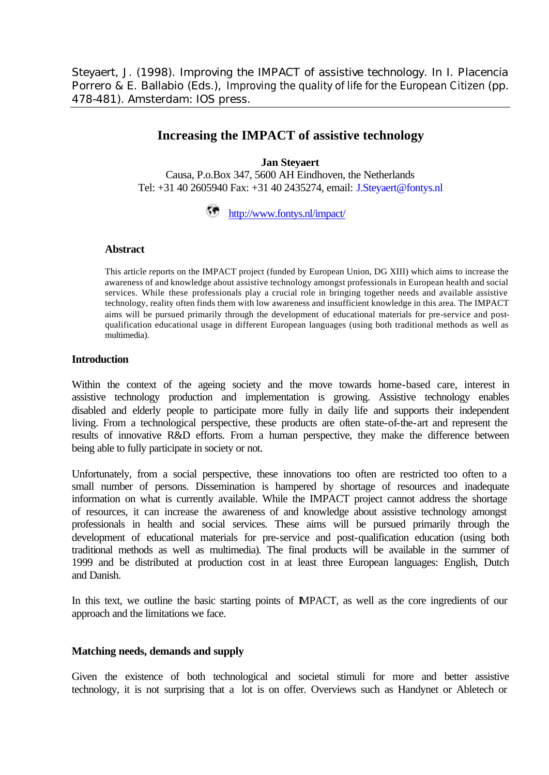Steyaert, J. (1998). Improving the IMPACT of assistive technology. In I. Placencia Porrero & E. Ballabio (Eds.), *Improving the quality of life for the European Citizen* (pp. 478-481). Amsterdam: IOS press.

# **Increasing the IMPACT of assistive technology**

### **Jan Steyaert**

Causa, P.o.Box 347, 5600 AH Eindhoven, the Netherlands Tel: +31 40 2605940 Fax: +31 40 2435274, email: J.Steyaert@fontys.nl

## http://www.fontys.nl/impact/

#### **Abstract**

This article reports on the IMPACT project (funded by European Union, DG XIII) which aims to increase the awareness of and knowledge about assistive technology amongst professionals in European health and social services. While these professionals play a crucial role in bringing together needs and available assistive technology, reality often finds them with low awareness and insufficient knowledge in this area. The IMPACT aims will be pursued primarily through the development of educational materials for pre-service and postqualification educational usage in different European languages (using both traditional methods as well as multimedia).

### **Introduction**

Within the context of the ageing society and the move towards home-based care, interest in assistive technology production and implementation is growing. Assistive technology enables disabled and elderly people to participate more fully in daily life and supports their independent living. From a technological perspective, these products are often state-of-the-art and represent the results of innovative R&D efforts. From a human perspective, they make the difference between being able to fully participate in society or not.

Unfortunately, from a social perspective, these innovations too often are restricted too often to a small number of persons. Dissemination is hampered by shortage of resources and inadequate information on what is currently available. While the IMPACT project cannot address the shortage of resources, it can increase the awareness of and knowledge about assistive technology amongst professionals in health and social services. These aims will be pursued primarily through the development of educational materials for pre-service and post-qualification education (using both traditional methods as well as multimedia). The final products will be available in the summer of 1999 and be distributed at production cost in at least three European languages: English, Dutch and Danish.

In this text, we outline the basic starting points of IMPACT, as well as the core ingredients of our approach and the limitations we face.

### **Matching needs, demands and supply**

Given the existence of both technological and societal stimuli for more and better assistive technology, it is not surprising that a lot is on offer. Overviews such as Handynet or Abletech or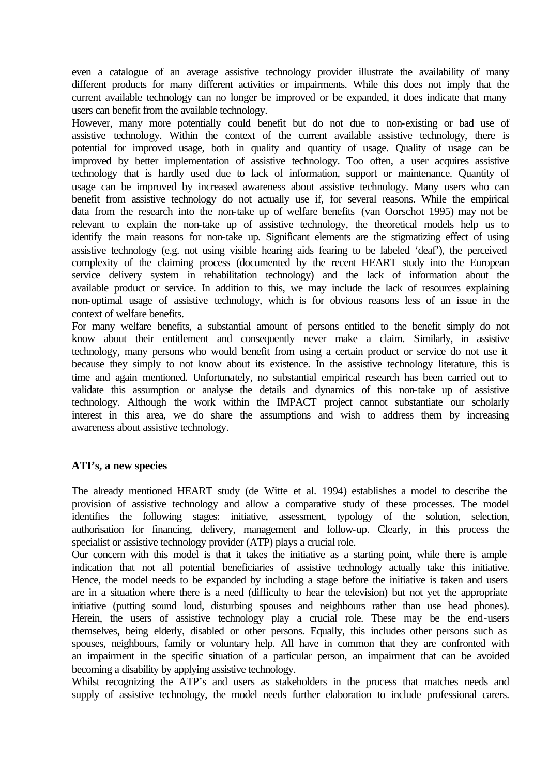even a catalogue of an average assistive technology provider illustrate the availability of many different products for many different activities or impairments. While this does not imply that the current available technology can no longer be improved or be expanded, it does indicate that many users can benefit from the available technology.

However, many more potentially could benefit but do not due to non-existing or bad use of assistive technology. Within the context of the current available assistive technology, there is potential for improved usage, both in quality and quantity of usage. Quality of usage can be improved by better implementation of assistive technology. Too often, a user acquires assistive technology that is hardly used due to lack of information, support or maintenance. Quantity of usage can be improved by increased awareness about assistive technology. Many users who can benefit from assistive technology do not actually use if, for several reasons. While the empirical data from the research into the non-take up of welfare benefits (van Oorschot 1995) may not be relevant to explain the non-take up of assistive technology, the theoretical models help us to identify the main reasons for non-take up. Significant elements are the stigmatizing effect of using assistive technology (e.g. not using visible hearing aids fearing to be labeled 'deaf'), the perceived complexity of the claiming process (documented by the recent HEART study into the European service delivery system in rehabilitation technology) and the lack of information about the available product or service. In addition to this, we may include the lack of resources explaining non-optimal usage of assistive technology, which is for obvious reasons less of an issue in the context of welfare benefits.

For many welfare benefits, a substantial amount of persons entitled to the benefit simply do not know about their entitlement and consequently never make a claim. Similarly, in assistive technology, many persons who would benefit from using a certain product or service do not use it because they simply to not know about its existence. In the assistive technology literature, this is time and again mentioned. Unfortunately, no substantial empirical research has been carried out to validate this assumption or analyse the details and dynamics of this non-take up of assistive technology. Although the work within the IMPACT project cannot substantiate our scholarly interest in this area, we do share the assumptions and wish to address them by increasing awareness about assistive technology.

### **ATI's, a new species**

The already mentioned HEART study (de Witte et al. 1994) establishes a model to describe the provision of assistive technology and allow a comparative study of these processes. The model identifies the following stages: initiative, assessment, typology of the solution, selection, authorisation for financing, delivery, management and follow-up. Clearly, in this process the specialist or assistive technology provider (ATP) plays a crucial role.

Our concern with this model is that it takes the initiative as a starting point, while there is ample indication that not all potential beneficiaries of assistive technology actually take this initiative. Hence, the model needs to be expanded by including a stage before the initiative is taken and users are in a situation where there is a need (difficulty to hear the television) but not yet the appropriate initiative (putting sound loud, disturbing spouses and neighbours rather than use head phones). Herein, the users of assistive technology play a crucial role. These may be the end-users themselves, being elderly, disabled or other persons. Equally, this includes other persons such as spouses, neighbours, family or voluntary help. All have in common that they are confronted with an impairment in the specific situation of a particular person, an impairment that can be avoided becoming a disability by applying assistive technology.

Whilst recognizing the ATP's and users as stakeholders in the process that matches needs and supply of assistive technology, the model needs further elaboration to include professional carers.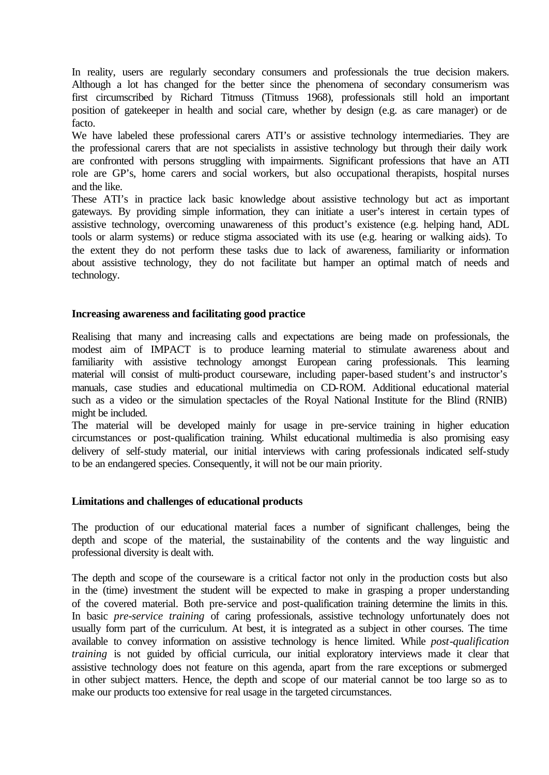In reality, users are regularly secondary consumers and professionals the true decision makers. Although a lot has changed for the better since the phenomena of secondary consumerism was first circumscribed by Richard Titmuss (Titmuss 1968), professionals still hold an important position of gatekeeper in health and social care, whether by design (e.g. as care manager) or de facto.

We have labeled these professional carers ATI's or assistive technology intermediaries. They are the professional carers that are not specialists in assistive technology but through their daily work are confronted with persons struggling with impairments. Significant professions that have an ATI role are GP's, home carers and social workers, but also occupational therapists, hospital nurses and the like.

These ATI's in practice lack basic knowledge about assistive technology but act as important gateways. By providing simple information, they can initiate a user's interest in certain types of assistive technology, overcoming unawareness of this product's existence (e.g. helping hand, ADL tools or alarm systems) or reduce stigma associated with its use (e.g. hearing or walking aids). To the extent they do not perform these tasks due to lack of awareness, familiarity or information about assistive technology, they do not facilitate but hamper an optimal match of needs and technology.

### **Increasing awareness and facilitating good practice**

Realising that many and increasing calls and expectations are being made on professionals, the modest aim of IMPACT is to produce learning material to stimulate awareness about and familiarity with assistive technology amongst European caring professionals. This learning material will consist of multi-product courseware, including paper-based student's and instructor's manuals, case studies and educational multimedia on CD-ROM. Additional educational material such as a video or the simulation spectacles of the Royal National Institute for the Blind (RNIB) might be included.

The material will be developed mainly for usage in pre-service training in higher education circumstances or post-qualification training. Whilst educational multimedia is also promising easy delivery of self-study material, our initial interviews with caring professionals indicated self-study to be an endangered species. Consequently, it will not be our main priority.

### **Limitations and challenges of educational products**

The production of our educational material faces a number of significant challenges, being the depth and scope of the material, the sustainability of the contents and the way linguistic and professional diversity is dealt with.

The depth and scope of the courseware is a critical factor not only in the production costs but also in the (time) investment the student will be expected to make in grasping a proper understanding of the covered material. Both pre-service and post-qualification training determine the limits in this. In basic *pre-service training* of caring professionals, assistive technology unfortunately does not usually form part of the curriculum. At best, it is integrated as a subject in other courses. The time available to convey information on assistive technology is hence limited. While *post-qualification training* is not guided by official curricula, our initial exploratory interviews made it clear that assistive technology does not feature on this agenda, apart from the rare exceptions or submerged in other subject matters. Hence, the depth and scope of our material cannot be too large so as to make our products too extensive for real usage in the targeted circumstances.